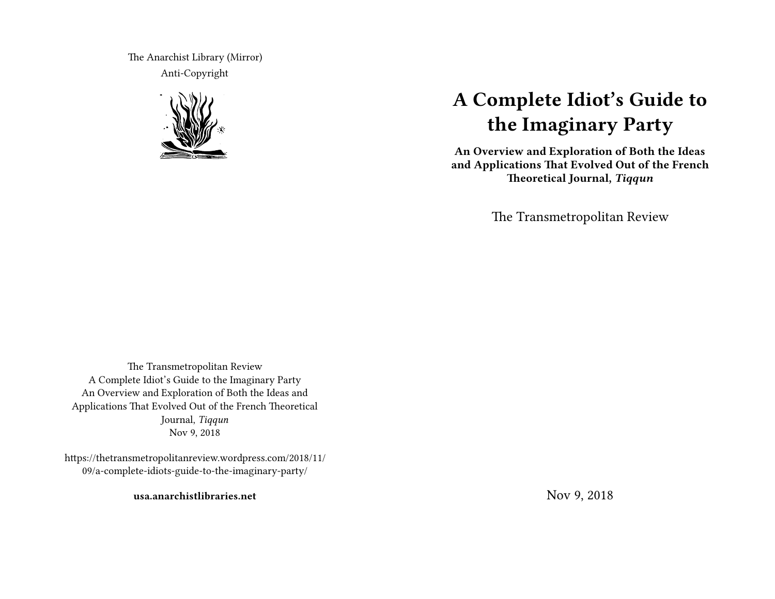The Anarchist Library (Mirror) Anti-Copyright



# **A Complete Idiot's Guide to the Imaginary Party**

**An Overview and Exploration of Both the Ideas and Applications That Evolved Out of the French Theoretical Journal,** *Tiqqun*

The Transmetropolitan Review

The Transmetropolitan Review A Complete Idiot's Guide to the Imaginary Party An Overview and Exploration of Both the Ideas and Applications That Evolved Out of the French Theoretical Journal, *Tiqqun* Nov 9, 2018

https://thetransmetropolitanreview.wordpress.com/2018/11/ 09/a-complete-idiots-guide-to-the-imaginary-party/

**usa.anarchistlibraries.net**

Nov 9, 2018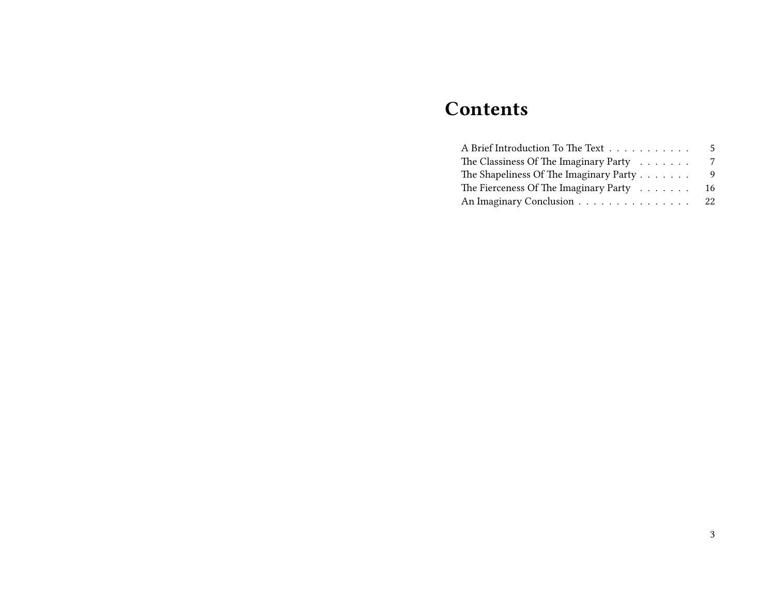## **Contents**

| A Brief Introduction To The Text                     | 5   |
|------------------------------------------------------|-----|
| The Classiness Of The Imaginary Party $\dots \dots$  | 7   |
| The Shapeliness Of The Imaginary Party $\dots \dots$ | 9   |
| The Fierceness Of The Imaginary Party $\dots \dots$  | 16  |
| An Imaginary Conclusion                              | -22 |
|                                                      |     |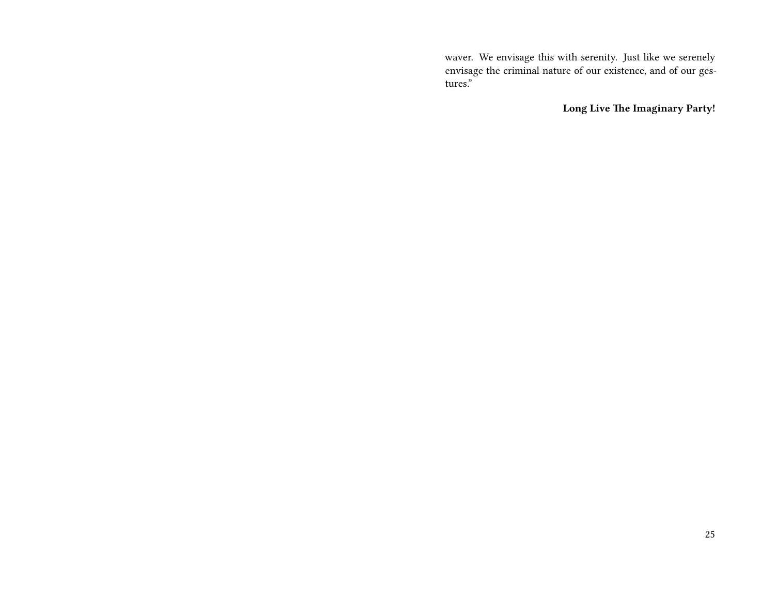waver. We envisage this with serenity. Just like we serenely envisage the criminal nature of our existence, and of our gestures."

**Long Live The Imaginary Party!**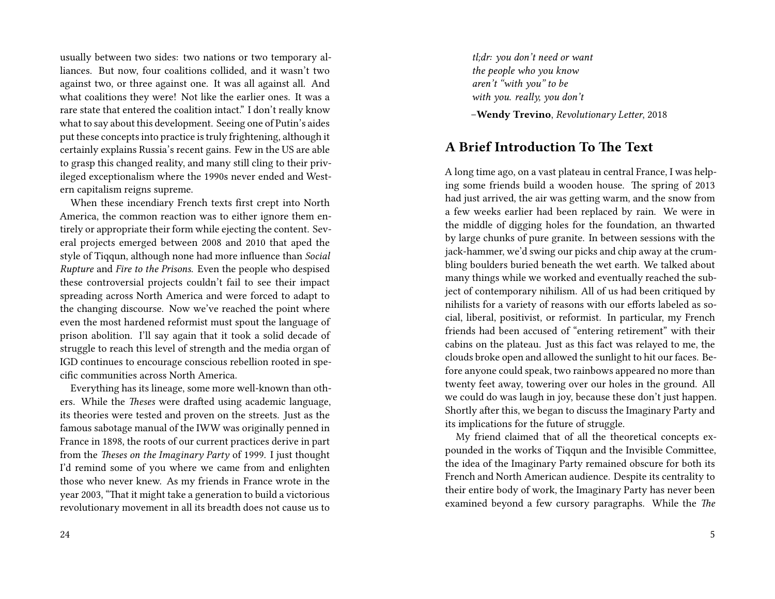usually between two sides: two nations or two temporary alliances. But now, four coalitions collided, and it wasn't two against two, or three against one. It was all against all. And what coalitions they were! Not like the earlier ones. It was a rare state that entered the coalition intact." I don't really know what to say about this development. Seeing one of Putin's aides put these concepts into practice is truly frightening, although it certainly explains Russia's recent gains. Few in the US are able to grasp this changed reality, and many still cling to their privileged exceptionalism where the 1990s never ended and Western capitalism reigns supreme.

When these incendiary French texts first crept into North America, the common reaction was to either ignore them entirely or appropriate their form while ejecting the content. Several projects emerged between 2008 and 2010 that aped the style of Tiqqun, although none had more influence than *Social Rupture* and *Fire to the Prisons*. Even the people who despised these controversial projects couldn't fail to see their impact spreading across North America and were forced to adapt to the changing discourse. Now we've reached the point where even the most hardened reformist must spout the language of prison abolition. I'll say again that it took a solid decade of struggle to reach this level of strength and the media organ of IGD continues to encourage conscious rebellion rooted in specific communities across North America.

Everything has its lineage, some more well-known than others. While the *Theses* were drafted using academic language, its theories were tested and proven on the streets. Just as the famous sabotage manual of the IWW was originally penned in France in 1898, the roots of our current practices derive in part from the *Theses on the Imaginary Party* of 1999. I just thought I'd remind some of you where we came from and enlighten those who never knew. As my friends in France wrote in the year 2003, "That it might take a generation to build a victorious revolutionary movement in all its breadth does not cause us to

*tl;dr: you don't need or want the people who you know aren't "with you" to be with you. really, you don't*

–**Wendy Trevino**, *Revolutionary Letter*, 2018

## **A Brief Introduction To The Text**

A long time ago, on a vast plateau in central France, I was helping some friends build a wooden house. The spring of 2013 had just arrived, the air was getting warm, and the snow from a few weeks earlier had been replaced by rain. We were in the middle of digging holes for the foundation, an thwarted by large chunks of pure granite. In between sessions with the jack-hammer, we'd swing our picks and chip away at the crumbling boulders buried beneath the wet earth. We talked about many things while we worked and eventually reached the subject of contemporary nihilism. All of us had been critiqued by nihilists for a variety of reasons with our efforts labeled as social, liberal, positivist, or reformist. In particular, my French friends had been accused of "entering retirement" with their cabins on the plateau. Just as this fact was relayed to me, the clouds broke open and allowed the sunlight to hit our faces. Before anyone could speak, two rainbows appeared no more than twenty feet away, towering over our holes in the ground. All we could do was laugh in joy, because these don't just happen. Shortly after this, we began to discuss the Imaginary Party and its implications for the future of struggle.

My friend claimed that of all the theoretical concepts expounded in the works of Tiqqun and the Invisible Committee, the idea of the Imaginary Party remained obscure for both its French and North American audience. Despite its centrality to their entire body of work, the Imaginary Party has never been examined beyond a few cursory paragraphs. While the *The*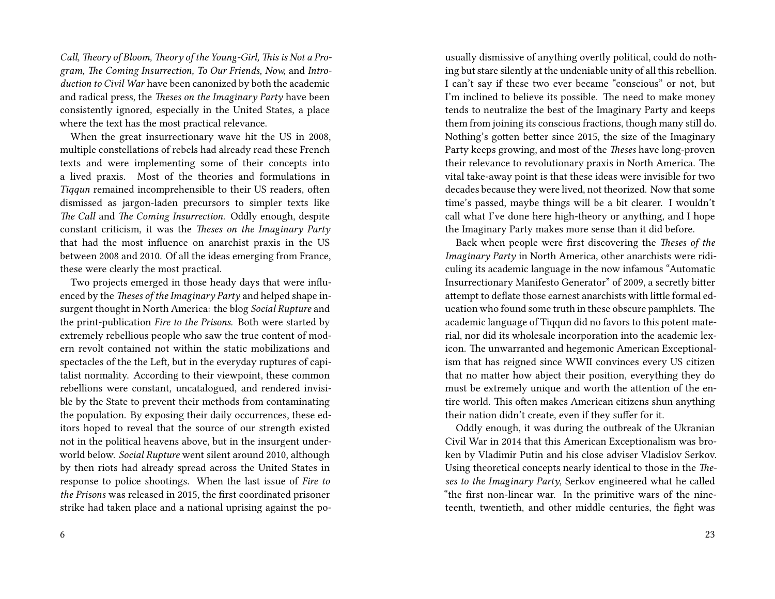*Call, Theory of Bloom, Theory of the Young-Girl, This is Not a Program, The Coming Insurrection, To Our Friends, Now,* and *Introduction to Civil War* have been canonized by both the academic and radical press, the *Theses on the Imaginary Party* have been consistently ignored, especially in the United States, a place where the text has the most practical relevance.

When the great insurrectionary wave hit the US in 2008, multiple constellations of rebels had already read these French texts and were implementing some of their concepts into a lived praxis. Most of the theories and formulations in *Tiqqun* remained incomprehensible to their US readers, often dismissed as jargon-laden precursors to simpler texts like *The Call* and *The Coming Insurrection.* Oddly enough, despite constant criticism, it was the *Theses on the Imaginary Party* that had the most influence on anarchist praxis in the US between 2008 and 2010. Of all the ideas emerging from France, these were clearly the most practical.

Two projects emerged in those heady days that were influenced by the *Theses of the Imaginary Party* and helped shape insurgent thought in North America: the blog *Social Rupture* and the print-publication *Fire to the Prisons.* Both were started by extremely rebellious people who saw the true content of modern revolt contained not within the static mobilizations and spectacles of the the Left, but in the everyday ruptures of capitalist normality. According to their viewpoint, these common rebellions were constant, uncatalogued, and rendered invisible by the State to prevent their methods from contaminating the population. By exposing their daily occurrences, these editors hoped to reveal that the source of our strength existed not in the political heavens above, but in the insurgent underworld below. *Social Rupture* went silent around 2010, although by then riots had already spread across the United States in response to police shootings. When the last issue of *Fire to the Prisons* was released in 2015, the first coordinated prisoner strike had taken place and a national uprising against the pousually dismissive of anything overtly political, could do nothing but stare silently at the undeniable unity of all this rebellion. I can't say if these two ever became "conscious" or not, but I'm inclined to believe its possible. The need to make money tends to neutralize the best of the Imaginary Party and keeps them from joining its conscious fractions, though many still do. Nothing's gotten better since 2015, the size of the Imaginary Party keeps growing, and most of the *Theses* have long-proven their relevance to revolutionary praxis in North America. The vital take-away point is that these ideas were invisible for two decades because they were lived, not theorized. Now that some time's passed, maybe things will be a bit clearer. I wouldn't call what I've done here high-theory or anything, and I hope the Imaginary Party makes more sense than it did before.

Back when people were first discovering the *Theses of the Imaginary Party* in North America, other anarchists were ridiculing its academic language in the now infamous "Automatic Insurrectionary Manifesto Generator" of 2009, a secretly bitter attempt to deflate those earnest anarchists with little formal education who found some truth in these obscure pamphlets. The academic language of Tiqqun did no favors to this potent material, nor did its wholesale incorporation into the academic lexicon. The unwarranted and hegemonic American Exceptionalism that has reigned since WWII convinces every US citizen that no matter how abject their position, everything they do must be extremely unique and worth the attention of the entire world. This often makes American citizens shun anything their nation didn't create, even if they suffer for it.

Oddly enough, it was during the outbreak of the Ukranian Civil War in 2014 that this American Exceptionalism was broken by Vladimir Putin and his close adviser Vladislov Serkov. Using theoretical concepts nearly identical to those in the *Theses to the Imaginary Party*, Serkov engineered what he called "the first non-linear war. In the primitive wars of the nineteenth, twentieth, and other middle centuries, the fight was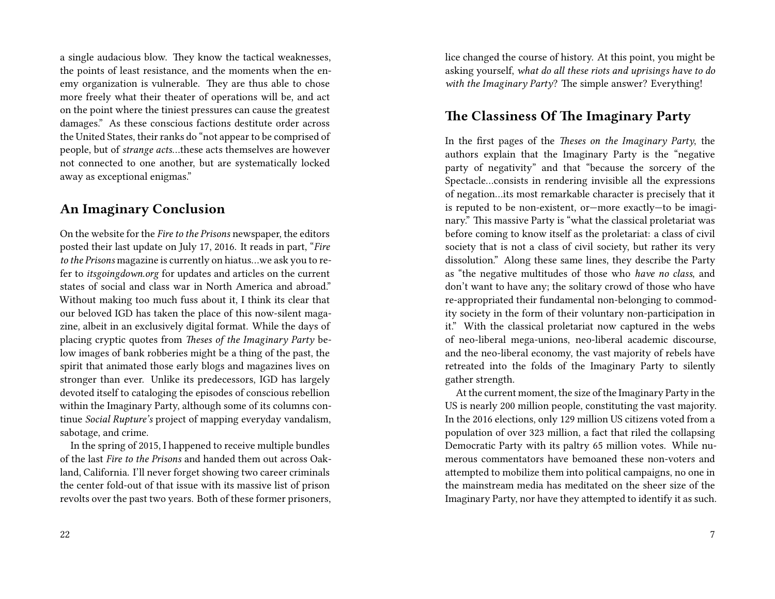a single audacious blow. They know the tactical weaknesses, the points of least resistance, and the moments when the enemy organization is vulnerable. They are thus able to chose more freely what their theater of operations will be, and act on the point where the tiniest pressures can cause the greatest damages." As these conscious factions destitute order across the United States, their ranks do "not appear to be comprised of people, but of *strange acts*…these acts themselves are however not connected to one another, but are systematically locked away as exceptional enigmas."

#### **An Imaginary Conclusion**

On the website for the *Fire to the Prisons* newspaper, the editors posted their last update on July 17, 2016. It reads in part, "*Fire to the Prisons* magazine is currently on hiatus…we ask you to refer to *itsgoingdown.org* for updates and articles on the current states of social and class war in North America and abroad." Without making too much fuss about it, I think its clear that our beloved IGD has taken the place of this now-silent magazine, albeit in an exclusively digital format. While the days of placing cryptic quotes from *Theses of the Imaginary Party* below images of bank robberies might be a thing of the past, the spirit that animated those early blogs and magazines lives on stronger than ever. Unlike its predecessors, IGD has largely devoted itself to cataloging the episodes of conscious rebellion within the Imaginary Party, although some of its columns continue *Social Rupture's* project of mapping everyday vandalism, sabotage, and crime.

In the spring of 2015, I happened to receive multiple bundles of the last *Fire to the Prisons* and handed them out across Oakland, California. I'll never forget showing two career criminals the center fold-out of that issue with its massive list of prison revolts over the past two years. Both of these former prisoners,

lice changed the course of history. At this point, you might be asking yourself, *what do all these riots and uprisings have to do with the Imaginary Party*? The simple answer? Everything!

#### **The Classiness Of The Imaginary Party**

In the first pages of the *Theses on the Imaginary Party*, the authors explain that the Imaginary Party is the "negative party of negativity" and that "because the sorcery of the Spectacle…consists in rendering invisible all the expressions of negation…its most remarkable character is precisely that it is reputed to be non-existent, or—more exactly—to be imaginary." This massive Party is "what the classical proletariat was before coming to know itself as the proletariat: a class of civil society that is not a class of civil society, but rather its very dissolution." Along these same lines, they describe the Party as "the negative multitudes of those who *have no class*, and don't want to have any; the solitary crowd of those who have re-appropriated their fundamental non-belonging to commodity society in the form of their voluntary non-participation in it." With the classical proletariat now captured in the webs of neo-liberal mega-unions, neo-liberal academic discourse, and the neo-liberal economy, the vast majority of rebels have retreated into the folds of the Imaginary Party to silently gather strength.

At the current moment, the size of the Imaginary Party in the US is nearly 200 million people, constituting the vast majority. In the 2016 elections, only 129 million US citizens voted from a population of over 323 million, a fact that riled the collapsing Democratic Party with its paltry 65 million votes. While numerous commentators have bemoaned these non-voters and attempted to mobilize them into political campaigns, no one in the mainstream media has meditated on the sheer size of the Imaginary Party, nor have they attempted to identify it as such.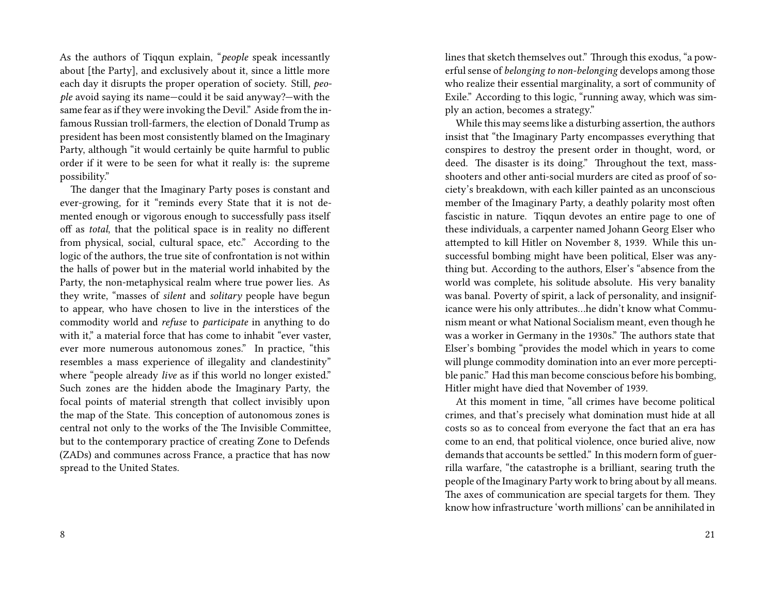As the authors of Tiqqun explain, "*people* speak incessantly about [the Party], and exclusively about it, since a little more each day it disrupts the proper operation of society. Still, *people* avoid saying its name—could it be said anyway?—with the same fear as if they were invoking the Devil." Aside from the infamous Russian troll-farmers, the election of Donald Trump as president has been most consistently blamed on the Imaginary Party, although "it would certainly be quite harmful to public order if it were to be seen for what it really is: the supreme possibility."

The danger that the Imaginary Party poses is constant and ever-growing, for it "reminds every State that it is not demented enough or vigorous enough to successfully pass itself off as *total*, that the political space is in reality no different from physical, social, cultural space, etc." According to the logic of the authors, the true site of confrontation is not within the halls of power but in the material world inhabited by the Party, the non-metaphysical realm where true power lies. As they write, "masses of *silent* and *solitary* people have begun to appear, who have chosen to live in the interstices of the commodity world and *refuse* to *participate* in anything to do with it," a material force that has come to inhabit "ever vaster, ever more numerous autonomous zones." In practice, "this resembles a mass experience of illegality and clandestinity" where "people already *live* as if this world no longer existed." Such zones are the hidden abode the Imaginary Party, the focal points of material strength that collect invisibly upon the map of the State. This conception of autonomous zones is central not only to the works of the The Invisible Committee, but to the contemporary practice of creating Zone to Defends (ZADs) and communes across France, a practice that has now spread to the United States.

lines that sketch themselves out." Through this exodus, "a powerful sense of *belonging to non-belonging* develops among those who realize their essential marginality, a sort of community of Exile." According to this logic, "running away, which was simply an action, becomes a strategy."

While this may seems like a disturbing assertion, the authors insist that "the Imaginary Party encompasses everything that conspires to destroy the present order in thought, word, or deed. The disaster is its doing." Throughout the text, massshooters and other anti-social murders are cited as proof of society's breakdown, with each killer painted as an unconscious member of the Imaginary Party, a deathly polarity most often fascistic in nature. Tiqqun devotes an entire page to one of these individuals, a carpenter named Johann Georg Elser who attempted to kill Hitler on November 8, 1939. While this unsuccessful bombing might have been political, Elser was anything but. According to the authors, Elser's "absence from the world was complete, his solitude absolute. His very banality was banal. Poverty of spirit, a lack of personality, and insignificance were his only attributes…he didn't know what Communism meant or what National Socialism meant, even though he was a worker in Germany in the 1930s." The authors state that Elser's bombing "provides the model which in years to come will plunge commodity domination into an ever more perceptible panic." Had this man become conscious before his bombing, Hitler might have died that November of 1939.

At this moment in time, "all crimes have become political crimes, and that's precisely what domination must hide at all costs so as to conceal from everyone the fact that an era has come to an end, that political violence, once buried alive, now demands that accounts be settled." In this modern form of guerrilla warfare, "the catastrophe is a brilliant, searing truth the people of the Imaginary Party work to bring about by all means. The axes of communication are special targets for them. They know how infrastructure 'worth millions' can be annihilated in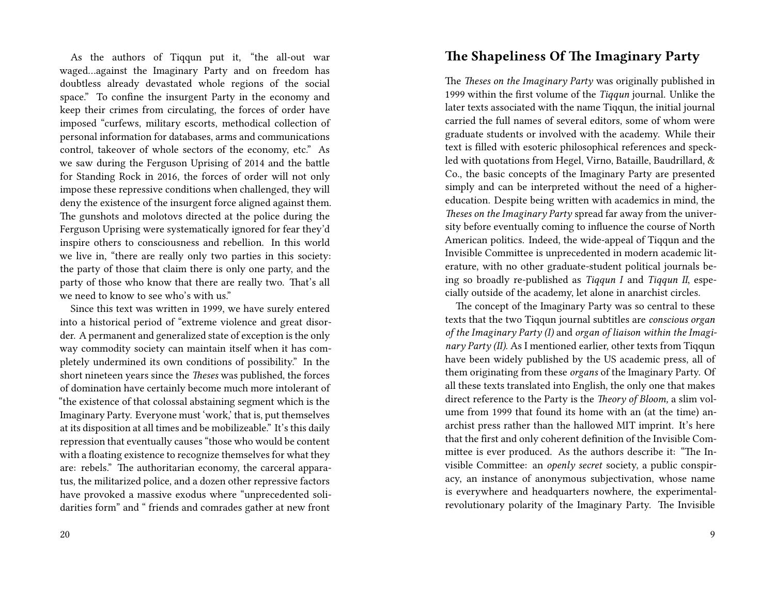As the authors of Tiqqun put it, "the all-out war waged…against the Imaginary Party and on freedom has doubtless already devastated whole regions of the social space." To confine the insurgent Party in the economy and keep their crimes from circulating, the forces of order have imposed "curfews, military escorts, methodical collection of personal information for databases, arms and communications control, takeover of whole sectors of the economy, etc." As we saw during the Ferguson Uprising of 2014 and the battle for Standing Rock in 2016, the forces of order will not only impose these repressive conditions when challenged, they will deny the existence of the insurgent force aligned against them. The gunshots and molotovs directed at the police during the Ferguson Uprising were systematically ignored for fear they'd inspire others to consciousness and rebellion. In this world we live in, "there are really only two parties in this society: the party of those that claim there is only one party, and the party of those who know that there are really two. That's all we need to know to see who's with us."

Since this text was written in 1999, we have surely entered into a historical period of "extreme violence and great disorder. A permanent and generalized state of exception is the only way commodity society can maintain itself when it has completely undermined its own conditions of possibility." In the short nineteen years since the *Theses* was published, the forces of domination have certainly become much more intolerant of "the existence of that colossal abstaining segment which is the Imaginary Party. Everyone must 'work,' that is, put themselves at its disposition at all times and be mobilizeable." It's this daily repression that eventually causes "those who would be content with a floating existence to recognize themselves for what they are: rebels." The authoritarian economy, the carceral apparatus, the militarized police, and a dozen other repressive factors have provoked a massive exodus where "unprecedented solidarities form" and " friends and comrades gather at new front

#### **The Shapeliness Of The Imaginary Party**

The *Theses on the Imaginary Party* was originally published in 1999 within the first volume of the *Tiqqun* journal. Unlike the later texts associated with the name Tiqqun, the initial journal carried the full names of several editors, some of whom were graduate students or involved with the academy. While their text is filled with esoteric philosophical references and speckled with quotations from Hegel, Virno, Bataille, Baudrillard, & Co., the basic concepts of the Imaginary Party are presented simply and can be interpreted without the need of a highereducation. Despite being written with academics in mind, the *Theses on the Imaginary Party* spread far away from the university before eventually coming to influence the course of North American politics. Indeed, the wide-appeal of Tiqqun and the Invisible Committee is unprecedented in modern academic literature, with no other graduate-student political journals being so broadly re-published as *Tiqqun I* and *Tiqqun II*, especially outside of the academy, let alone in anarchist circles.

The concept of the Imaginary Party was so central to these texts that the two Tiqqun journal subtitles are *conscious organ of the Imaginary Party (I)* and *organ of liaison within the Imaginary Party (II)*. As I mentioned earlier, other texts from Tiqqun have been widely published by the US academic press, all of them originating from these *organs* of the Imaginary Party. Of all these texts translated into English, the only one that makes direct reference to the Party is the *Theory of Bloom,* a slim volume from 1999 that found its home with an (at the time) anarchist press rather than the hallowed MIT imprint. It's here that the first and only coherent definition of the Invisible Committee is ever produced. As the authors describe it: "The Invisible Committee: an *openly secret* society, a public conspiracy, an instance of anonymous subjectivation, whose name is everywhere and headquarters nowhere, the experimentalrevolutionary polarity of the Imaginary Party. The Invisible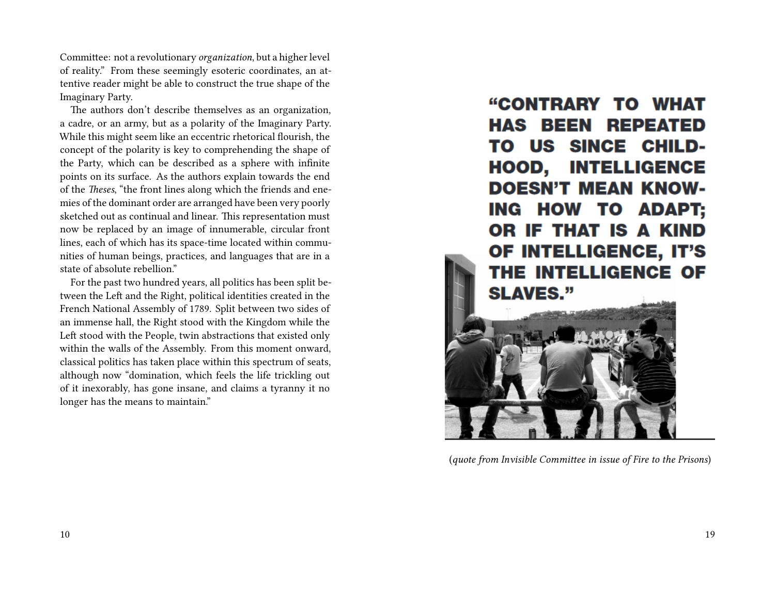Committee: not a revolutionary *organization*, but a higher level of reality." From these seemingly esoteric coordinates, an attentive reader might be able to construct the true shape of the Imaginary Party.

The authors don't describe themselves as an organization, a cadre, or an army, but as a polarity of the Imaginary Party. While this might seem like an eccentric rhetorical flourish, the concept of the polarity is key to comprehending the shape of the Party, which can be described as a sphere with infinite points on its surface. As the authors explain towards the end of the *Theses*, "the front lines along which the friends and enemies of the dominant order are arranged have been very poorly sketched out as continual and linear. This representation must now be replaced by an image of innumerable, circular front lines, each of which has its space-time located within communities of human beings, practices, and languages that are in a state of absolute rebellion."

For the past two hundred years, all politics has been split between the Left and the Right, political identities created in the French National Assembly of 1789. Split between two sides of an immense hall, the Right stood with the Kingdom while the Left stood with the People, twin abstractions that existed only within the walls of the Assembly. From this moment onward, classical politics has taken place within this spectrum of seats, although now "domination, which feels the life trickling out of it inexorably, has gone insane, and claims a tyranny it no longer has the means to maintain."

"CONTRARY TO WHAT **HAS BEEN REPEATED** TO US SINCE CHILD-**HOOD, INTELLIGENCE DOESN'T MEAN KNOW-**ING HOW TO ADAPT; OR IF THAT IS A KIND OF INTELLIGENCE, IT'S THE INTELLIGENCE OF **SLAVES."** 



(*quote from Invisible Committee in issue of Fire to the Prisons*)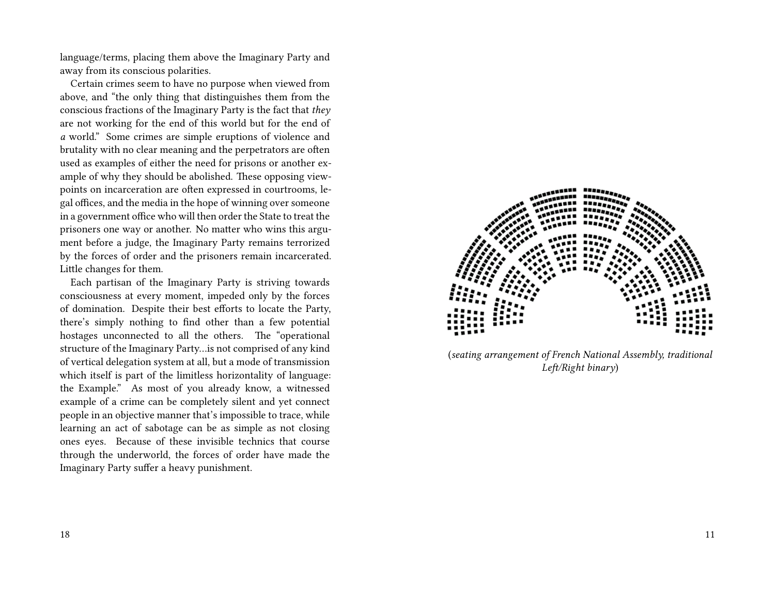language/terms, placing them above the Imaginary Party and away from its conscious polarities.

Certain crimes seem to have no purpose when viewed from above, and "the only thing that distinguishes them from the conscious fractions of the Imaginary Party is the fact that *they* are not working for the end of this world but for the end of *a* world." Some crimes are simple eruptions of violence and brutality with no clear meaning and the perpetrators are often used as examples of either the need for prisons or another example of why they should be abolished. These opposing viewpoints on incarceration are often expressed in courtrooms, legal offices, and the media in the hope of winning over someone in a government office who will then order the State to treat the prisoners one way or another. No matter who wins this argument before a judge, the Imaginary Party remains terrorized by the forces of order and the prisoners remain incarcerated. Little changes for them.

Each partisan of the Imaginary Party is striving towards consciousness at every moment, impeded only by the forces of domination. Despite their best efforts to locate the Party, there's simply nothing to find other than a few potential hostages unconnected to all the others. The "operational structure of the Imaginary Party…is not comprised of any kind of vertical delegation system at all, but a mode of transmission which itself is part of the limitless horizontality of language: the Example." As most of you already know, a witnessed example of a crime can be completely silent and yet connect people in an objective manner that's impossible to trace, while learning an act of sabotage can be as simple as not closing ones eyes. Because of these invisible technics that course through the underworld, the forces of order have made the Imaginary Party suffer a heavy punishment.



(*seating arrangement of French National Assembly, traditional Left/Right binary*)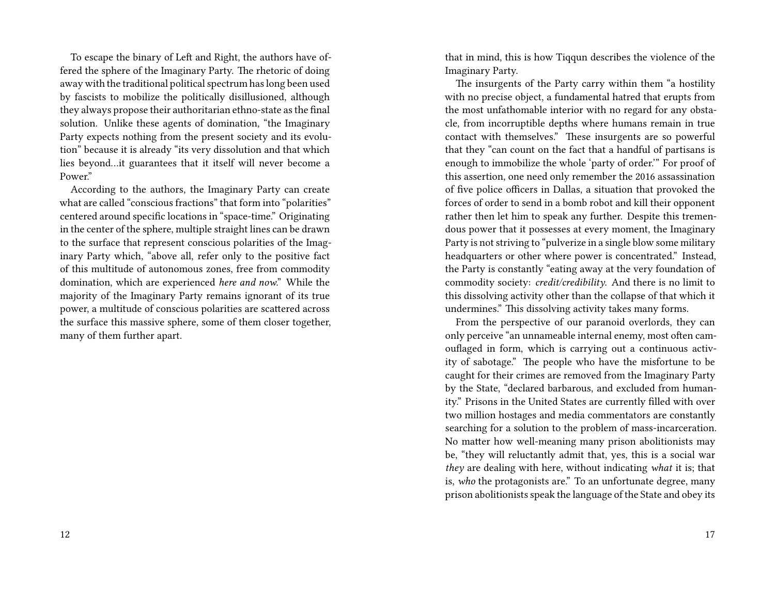To escape the binary of Left and Right, the authors have offered the sphere of the Imaginary Party. The rhetoric of doing away with the traditional political spectrum has long been used by fascists to mobilize the politically disillusioned, although they always propose their authoritarian ethno-state as the final solution. Unlike these agents of domination, "the Imaginary Party expects nothing from the present society and its evolution" because it is already "its very dissolution and that which lies beyond…it guarantees that it itself will never become a Power."

According to the authors, the Imaginary Party can create what are called "conscious fractions" that form into "polarities" centered around specific locations in "space-time." Originating in the center of the sphere, multiple straight lines can be drawn to the surface that represent conscious polarities of the Imaginary Party which, "above all, refer only to the positive fact of this multitude of autonomous zones, free from commodity domination, which are experienced *here and now*." While the majority of the Imaginary Party remains ignorant of its true power, a multitude of conscious polarities are scattered across the surface this massive sphere, some of them closer together, many of them further apart.

that in mind, this is how Tiqqun describes the violence of the Imaginary Party.

The insurgents of the Party carry within them "a hostility with no precise object, a fundamental hatred that erupts from the most unfathomable interior with no regard for any obstacle, from incorruptible depths where humans remain in true contact with themselves." These insurgents are so powerful that they "can count on the fact that a handful of partisans is enough to immobilize the whole 'party of order.'" For proof of this assertion, one need only remember the 2016 assassination of five police officers in Dallas, a situation that provoked the forces of order to send in a bomb robot and kill their opponent rather then let him to speak any further. Despite this tremendous power that it possesses at every moment, the Imaginary Party is not striving to "pulverize in a single blow some military headquarters or other where power is concentrated." Instead, the Party is constantly "eating away at the very foundation of commodity society: *credit/credibility*. And there is no limit to this dissolving activity other than the collapse of that which it undermines." This dissolving activity takes many forms.

From the perspective of our paranoid overlords, they can only perceive "an unnameable internal enemy, most often camouflaged in form, which is carrying out a continuous activity of sabotage." The people who have the misfortune to be caught for their crimes are removed from the Imaginary Party by the State, "declared barbarous, and excluded from humanity." Prisons in the United States are currently filled with over two million hostages and media commentators are constantly searching for a solution to the problem of mass-incarceration. No matter how well-meaning many prison abolitionists may be, "they will reluctantly admit that, yes, this is a social war *they* are dealing with here, without indicating *what* it is; that is, *who* the protagonists are." To an unfortunate degree, many prison abolitionists speak the language of the State and obey its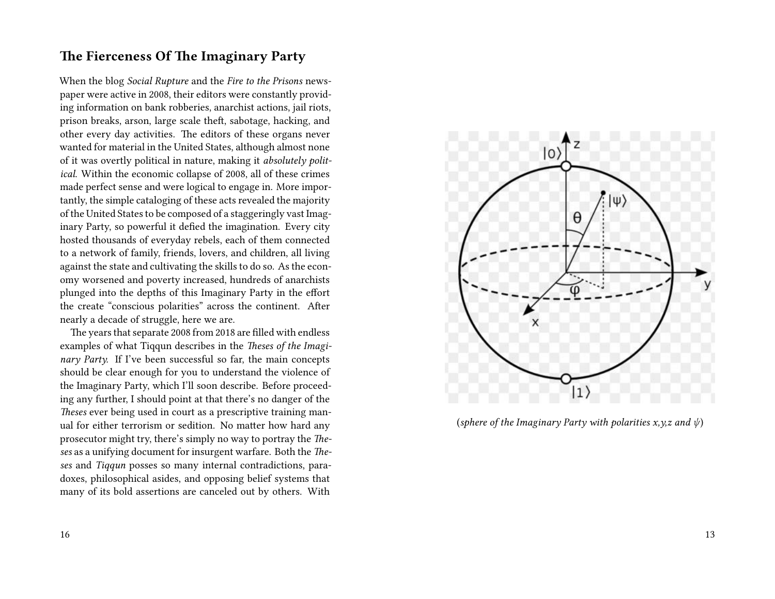## **The Fierceness Of The Imaginary Party**

When the blog *Social Rupture* and the *Fire to the Prisons* newspaper were active in 2008, their editors were constantly providing information on bank robberies, anarchist actions, jail riots, prison breaks, arson, large scale theft, sabotage, hacking, and other every day activities. The editors of these organs never wanted for material in the United States, although almost none of it was overtly political in nature, making it *absolutely political*. Within the economic collapse of 2008, all of these crimes made perfect sense and were logical to engage in. More importantly, the simple cataloging of these acts revealed the majority of the United States to be composed of a staggeringly vast Imaginary Party, so powerful it defied the imagination. Every city hosted thousands of everyday rebels, each of them connected to a network of family, friends, lovers, and children, all living against the state and cultivating the skills to do so. As the economy worsened and poverty increased, hundreds of anarchists plunged into the depths of this Imaginary Party in the effort the create "conscious polarities" across the continent. After nearly a decade of struggle, here we are.

The years that separate 2008 from 2018 are filled with endless examples of what Tiqqun describes in the *Theses of the Imaginary Party.* If I've been successful so far, the main concepts should be clear enough for you to understand the violence of the Imaginary Party, which I'll soon describe. Before proceeding any further, I should point at that there's no danger of the *Theses* ever being used in court as a prescriptive training manual for either terrorism or sedition. No matter how hard any prosecutor might try, there's simply no way to portray the *Theses* as a unifying document for insurgent warfare. Both the *Theses* and *Tiqqun* posses so many internal contradictions, paradoxes, philosophical asides, and opposing belief systems that many of its bold assertions are canceled out by others. With



(*sphere of the Imaginary Party with polarities x,y,z and ψ*)